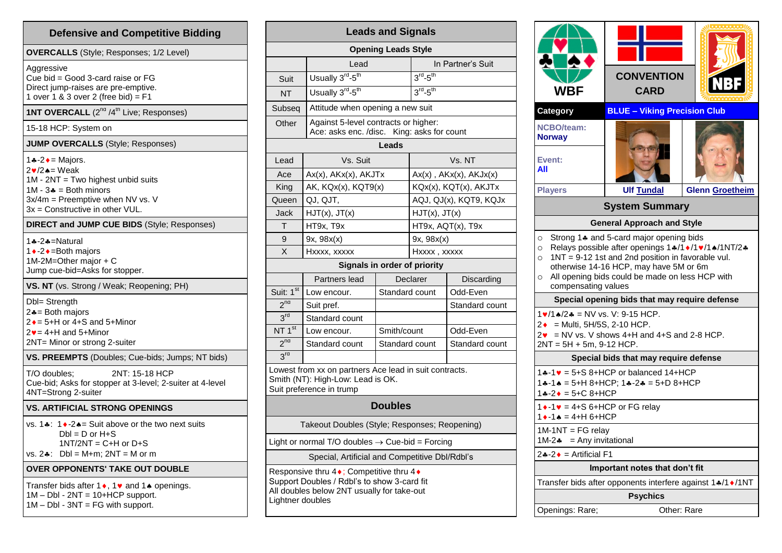| <b>Defensive and Competitive Bidding</b>                                                                                                                                                                                |  |  |  |  |  |
|-------------------------------------------------------------------------------------------------------------------------------------------------------------------------------------------------------------------------|--|--|--|--|--|
| <b>OVERCALLS</b> (Style; Responses; 1/2 Level)                                                                                                                                                                          |  |  |  |  |  |
| Aggressive<br>Cue bid = Good 3-card raise or $FG$<br>Direct jump-raises are pre-emptive.<br>1 over 1 & 3 over 2 (free bid) = $F1$                                                                                       |  |  |  |  |  |
| 1NT OVERCALL (2 <sup>nd</sup> /4 <sup>th</sup> Live; Responses)                                                                                                                                                         |  |  |  |  |  |
| 15-18 HCP: System on                                                                                                                                                                                                    |  |  |  |  |  |
| <b>JUMP OVERCALLS</b> (Style; Responses)                                                                                                                                                                                |  |  |  |  |  |
| 1.4 - 2 $\bullet$ = Majors.<br>$2\blacktriangledown/2$ $\blacktriangle$ = Weak<br>1M - 2NT = Two highest unbid suits<br>$1M - 3$ = Both minors<br>3x/4m = Preemptive when NV vs. V<br>$3x =$ Constructive in other VUL. |  |  |  |  |  |
| <b>DIRECT and JUMP CUE BIDS (Style; Responses)</b>                                                                                                                                                                      |  |  |  |  |  |
| 1-8-2-A=Natural<br>1 • -2 • = Both majors<br>1M-2M=Other major $+ C$<br>Jump cue-bid=Asks for stopper.                                                                                                                  |  |  |  |  |  |
| <b>VS. NT</b> (vs. Strong / Weak; Reopening; PH)                                                                                                                                                                        |  |  |  |  |  |
| Dbl= Strength<br>$2 - 12$ Both majors<br>$2 \div = 5 + H$ or 4+S and 5+Minor<br>$2v = 4 + H$ and 5+Minor<br>2NT= Minor or strong 2-suiter                                                                               |  |  |  |  |  |
| VS. PREEMPTS (Doubles; Cue-bids; Jumps; NT bids)                                                                                                                                                                        |  |  |  |  |  |
| 2NT: 15-18 HCP<br>T/O doubles:<br>Cue-bid; Asks for stopper at 3-level; 2-suiter at 4-level<br>4NT=Strong 2-suiter                                                                                                      |  |  |  |  |  |
| <b>VS. ARTIFICIAL STRONG OPENINGS</b>                                                                                                                                                                                   |  |  |  |  |  |
| vs. 1.: $1 \cdot 2 \cdot 5 = 5$ at above or the two next suits<br>$Dbl = D$ or $H + S$<br>$1NT/2NT = C + H$ or $D + S$<br>$DbI = M+m$ ; $2NT = M$ or m<br>vs. 2 <b>∻</b> ∶                                              |  |  |  |  |  |
| <b>OVER OPPONENTS' TAKE OUT DOUBLE</b>                                                                                                                                                                                  |  |  |  |  |  |
| Transfer bids after 1 ♦, 1 • and 1 ♦ openings.<br>$1M - Dbl - 2NT = 10+HCP$ support.<br>$1M - Dbl - 3NT = FG$ with support.                                                                                             |  |  |  |  |  |

| <b>Leads and Signals</b>                                                                                                                                   |                                                                                    |                |                                |                |  |  |  |  |
|------------------------------------------------------------------------------------------------------------------------------------------------------------|------------------------------------------------------------------------------------|----------------|--------------------------------|----------------|--|--|--|--|
| <b>Opening Leads Style</b>                                                                                                                                 |                                                                                    |                |                                |                |  |  |  |  |
|                                                                                                                                                            | Lead                                                                               |                | In Partner's Suit              |                |  |  |  |  |
| Suit                                                                                                                                                       | Usually 3 <sup>rd</sup> -5 <sup>th</sup>                                           |                | $3^{rd}$ -5 <sup>th</sup>      |                |  |  |  |  |
| NT                                                                                                                                                         | Usually 3 <sup>rd</sup> -5 <sup>th</sup>                                           |                | $3rd - 5th$                    |                |  |  |  |  |
| Subseq                                                                                                                                                     | Attitude when opening a new suit                                                   |                |                                |                |  |  |  |  |
| Other                                                                                                                                                      | Against 5-level contracts or higher:<br>Ace: asks enc. /disc. King: asks for count |                |                                |                |  |  |  |  |
|                                                                                                                                                            |                                                                                    | Leads          |                                |                |  |  |  |  |
| Lead                                                                                                                                                       | Vs. Suit                                                                           |                | Vs. NT                         |                |  |  |  |  |
| Ace                                                                                                                                                        | $Ax(x)$ , $AKx(x)$ , $AKJTx$                                                       |                | $Ax(x)$ , $AKx(x)$ , $AKJx(x)$ |                |  |  |  |  |
| King                                                                                                                                                       | AK, KQx(x), KQT9(x)                                                                |                | KQx(x), KQT(x), AKJTx          |                |  |  |  |  |
| Queen                                                                                                                                                      | QJ, QJT,                                                                           |                | AQJ, QJ(x), KQT9, KQJx         |                |  |  |  |  |
| Jack                                                                                                                                                       | HJT(x), JT(x)                                                                      |                | $HJT(x)$ , $JT(x)$             |                |  |  |  |  |
| т                                                                                                                                                          | HT9x, T9x                                                                          |                | HT9x, AQT(x), T9x              |                |  |  |  |  |
| 9                                                                                                                                                          | 9x, 98x(x)                                                                         |                | 9x, 98x(x)                     |                |  |  |  |  |
| X                                                                                                                                                          | Hxxxx, xxxxx                                                                       |                | Hxxxx, xxxxx                   |                |  |  |  |  |
|                                                                                                                                                            | Signals in order of priority                                                       |                |                                |                |  |  |  |  |
|                                                                                                                                                            | Partners lead                                                                      |                | Declarer                       | Discarding     |  |  |  |  |
| Suit: 1st                                                                                                                                                  | Low encour.                                                                        | Standard count |                                | Odd-Even       |  |  |  |  |
| $2^{na}$                                                                                                                                                   | Suit pref.                                                                         |                |                                | Standard count |  |  |  |  |
| 3 <sup>rd</sup>                                                                                                                                            | Standard count                                                                     |                |                                |                |  |  |  |  |
| NT $1st$                                                                                                                                                   | Low encour.                                                                        | Smith/count    |                                | Odd-Even       |  |  |  |  |
| 2 <sup>nd</sup>                                                                                                                                            | Standard count                                                                     | Standard count |                                | Standard count |  |  |  |  |
| 3 <sup>rd</sup>                                                                                                                                            |                                                                                    |                |                                |                |  |  |  |  |
| Lowest from xx on partners Ace lead in suit contracts.<br>Smith (NT): High-Low: Lead is OK.<br>Suit preference in trump                                    |                                                                                    |                |                                |                |  |  |  |  |
| <b>Doubles</b>                                                                                                                                             |                                                                                    |                |                                |                |  |  |  |  |
| Takeout Doubles (Style; Responses; Reopening)                                                                                                              |                                                                                    |                |                                |                |  |  |  |  |
| Light or normal T/O doubles $\rightarrow$ Cue-bid = Forcing                                                                                                |                                                                                    |                |                                |                |  |  |  |  |
| Special, Artificial and Competitive Dbl/Rdbl's                                                                                                             |                                                                                    |                |                                |                |  |  |  |  |
| Responsive thru 4 •; Competitive thru 4 •<br>Support Doubles / Rdbl's to show 3-card fit<br>All doubles below 2NT usually for take-out<br>Lightner doubles |                                                                                    |                |                                |                |  |  |  |  |

|                                                                                                                          | <b>CONVENTION</b>                                                                                                                                                                                         |                        |
|--------------------------------------------------------------------------------------------------------------------------|-----------------------------------------------------------------------------------------------------------------------------------------------------------------------------------------------------------|------------------------|
| <b>WBF</b>                                                                                                               | <b>CARD</b>                                                                                                                                                                                               |                        |
| Category                                                                                                                 | <b>BLUE - Viking Precision Club</b>                                                                                                                                                                       |                        |
| <b>NCBO/team:</b><br><b>Norway</b>                                                                                       |                                                                                                                                                                                                           |                        |
| Event:<br>All                                                                                                            |                                                                                                                                                                                                           |                        |
| <b>Players</b>                                                                                                           | <b>Ulf Tundal</b>                                                                                                                                                                                         | <b>Glenn Groetheim</b> |
| <b>System Summary</b>                                                                                                    |                                                                                                                                                                                                           |                        |
|                                                                                                                          | <b>General Approach and Style</b>                                                                                                                                                                         |                        |
| compensating values                                                                                                      | Relays possible after openings 1+/1+/1+/1+/1NT/2+<br>o $1NT = 9-12$ 1st and 2nd position in favorable vul.<br>otherwise 14-16 HCP, may have 5M or 6m<br>o All opening bids could be made on less HCP with |                        |
|                                                                                                                          | Special opening bids that may require defense                                                                                                                                                             |                        |
| $1 \cdot 1 \cdot 12 \cdot 5 =$ NV vs. V: 9-15 HCP.<br>$2 \cdot =$ Multi, 5H/5S, 2-10 HCP.<br>$2NT = 5H + 5m$ , 9-12 HCP. | $2\mathbf{v}$ = NV vs. V shows 4+H and 4+S and 2-8 HCP.                                                                                                                                                   |                        |
|                                                                                                                          | Special bids that may require defense                                                                                                                                                                     |                        |
| $14 - 24 = 5 + C 8 + HCP$                                                                                                | $14-1$ $\bullet$ = 5+S 8+HCP or balanced 14+HCP<br>$14 - 14 = 5 + H 8 + HCP$ ; $14 - 24 = 5 + D 8 + HCP$                                                                                                  |                        |
| $1 \cdot -1 \cdot 4 + S$ 6+HCP or FG relay<br>$1 \cdot -1 \cdot = 4 + H 6 + HCP$                                         |                                                                                                                                                                                                           |                        |
| $1M-1NT = FG$ relay<br>$1M-2$ = Any invitational                                                                         |                                                                                                                                                                                                           |                        |
| $2 \div -2 \div =$ Artificial F1                                                                                         |                                                                                                                                                                                                           |                        |
|                                                                                                                          | Important notes that don't fit                                                                                                                                                                            |                        |
|                                                                                                                          | Transfer bids after opponents interfere against 1.4/1 ♦/1NT                                                                                                                                               |                        |
|                                                                                                                          | <b>Psychics</b>                                                                                                                                                                                           |                        |
| Openings: Rare;                                                                                                          | Other: Rare                                                                                                                                                                                               |                        |